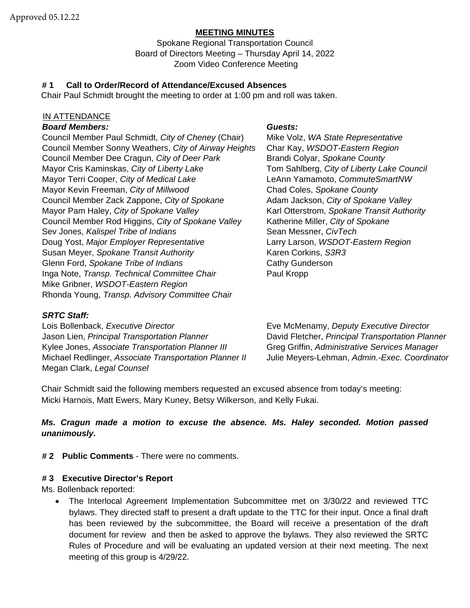#### **MEETING MINUTES**

Spokane Regional Transportation Council Board of Directors Meeting – Thursday April 14, 2022 Zoom Video Conference Meeting

#### **# 1 Call to Order/Record of Attendance/Excused Absences**

Chair Paul Schmidt brought the meeting to order at 1:00 pm and roll was taken.

#### IN ATTENDANCE

#### *Board Members: Guests:*

Council Member Paul Schmidt, *City of Cheney* (Chair) Mike Volz, *WA State Representative* Council Member Sonny Weathers, *City of Airway Heights* Char Kay, *WSDOT-Eastern Region* Council Member Dee Cragun, *City of Deer Park* Brandi Colyar, *Spokane County* Mayor Cris Kaminskas, *City of Liberty Lake* Tom Sahlberg, *City of Liberty Lake Council* Mayor Terri Cooper, *City of Medical Lake* LeAnn Yamamoto, *CommuteSmartNW* Mayor Kevin Freeman, *City of Millwood* Chad Coles, *Spokane County* Council Member Zack Zappone, *City of Spokane* Adam Jackson, *City of Spokane Valley* Mayor Pam Haley, *City of Spokane Valley* Karl Otterstrom, *Spokane Transit Authority* Council Member Rod Higgins, *City of Spokane Valley* Katherine Miller, *City of Spokane* Sev Jones, *Kalispel Tribe of Indians* Sean Messner, *CivTech* Doug Yost, *Major Employer Representative* Larry Larson, *WSDOT-Eastern Region* Susan Meyer, *Spokane Transit Authority* Karen Corkins, S3R3 Glenn Ford, *Spokane Tribe of Indians* Cathy Gunderson Inga Note, *Transp. Technical Committee Chair* Paul Kropp Mike Gribner, *WSDOT-Eastern Region* Rhonda Young, *Transp. Advisory Committee Chair*

#### *SRTC Staff:*

Lois Bollenback, *Executive Director* Eve McMenamy, *Deputy Executive Director* Jason Lien, *Principal Transportation Planner* David Fletcher, *Principal Transportation Planner* Kylee Jones, *Associate Transportation Planner III* Greg Griffin, *Administrative Services Manager* Michael Redlinger, *Associate Transportation Planner II* Julie Meyers-Lehman, *Admin.-Exec. Coordinator* Megan Clark, *Legal Counsel*

Chair Schmidt said the following members requested an excused absence from today's meeting: Micki Harnois, Matt Ewers, Mary Kuney, Betsy Wilkerson, and Kelly Fukai.

## *Ms. Cragun made a motion to excuse the absence. Ms. Haley seconded. Motion passed unanimously.*

**# 2 Public Comments** - There were no comments.

#### **# 3 Executive Director's Report**

Ms. Bollenback reported:

• The Interlocal Agreement Implementation Subcommittee met on 3/30/22 and reviewed TTC bylaws. They directed staff to present a draft update to the TTC for their input. Once a final draft has been reviewed by the subcommittee, the Board will receive a presentation of the draft document for review and then be asked to approve the bylaws. They also reviewed the SRTC Rules of Procedure and will be evaluating an updated version at their next meeting. The next meeting of this group is 4/29/22.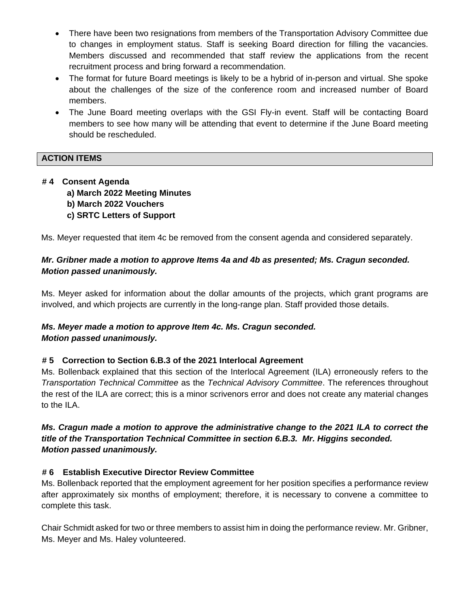- There have been two resignations from members of the Transportation Advisory Committee due to changes in employment status. Staff is seeking Board direction for filling the vacancies. Members discussed and recommended that staff review the applications from the recent recruitment process and bring forward a recommendation.
- The format for future Board meetings is likely to be a hybrid of in-person and virtual. She spoke about the challenges of the size of the conference room and increased number of Board members.
- The June Board meeting overlaps with the GSI Fly-in event. Staff will be contacting Board members to see how many will be attending that event to determine if the June Board meeting should be rescheduled.

# **ACTION ITEMS**

# **# 4 Consent Agenda**

- **a) March 2022 Meeting Minutes**
- **b) March 2022 Vouchers**
- **c) SRTC Letters of Support**

Ms. Meyer requested that item 4c be removed from the consent agenda and considered separately.

# *Mr. Gribner made a motion to approve Items 4a and 4b as presented; Ms. Cragun seconded. Motion passed unanimously.*

Ms. Meyer asked for information about the dollar amounts of the projects, which grant programs are involved, and which projects are currently in the long-range plan. Staff provided those details.

## *Ms. Meyer made a motion to approve Item 4c. Ms. Cragun seconded. Motion passed unanimously.*

## **# 5 Correction to Section 6.B.3 of the 2021 Interlocal Agreement**

Ms. Bollenback explained that this section of the Interlocal Agreement (ILA) erroneously refers to the *Transportation Technical Committee* as the *Technical Advisory Committee*. The references throughout the rest of the ILA are correct; this is a minor scrivenors error and does not create any material changes to the ILA.

# *Ms. Cragun made a motion to approve the administrative change to the 2021 ILA to correct the title of the Transportation Technical Committee in section 6.B.3. Mr. Higgins seconded. Motion passed unanimously.*

## **# 6 Establish Executive Director Review Committee**

Ms. Bollenback reported that the employment agreement for her position specifies a performance review after approximately six months of employment; therefore, it is necessary to convene a committee to complete this task.

Chair Schmidt asked for two or three members to assist him in doing the performance review. Mr. Gribner, Ms. Meyer and Ms. Haley volunteered.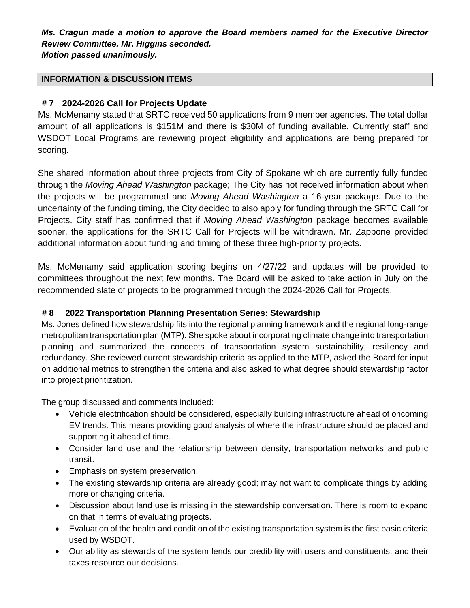*Ms. Cragun made a motion to approve the Board members named for the Executive Director Review Committee. Mr. Higgins seconded. Motion passed unanimously.*

#### **INFORMATION & DISCUSSION ITEMS**

# **# 7 2024-2026 Call for Projects Update**

Ms. McMenamy stated that SRTC received 50 applications from 9 member agencies. The total dollar amount of all applications is \$151M and there is \$30M of funding available. Currently staff and WSDOT Local Programs are reviewing project eligibility and applications are being prepared for scoring.

She shared information about three projects from City of Spokane which are currently fully funded through the *Moving Ahead Washington* package; The City has not received information about when the projects will be programmed and *Moving Ahead Washington* a 16-year package. Due to the uncertainty of the funding timing, the City decided to also apply for funding through the SRTC Call for Projects. City staff has confirmed that if *Moving Ahead Washington* package becomes available sooner, the applications for the SRTC Call for Projects will be withdrawn. Mr. Zappone provided additional information about funding and timing of these three high-priority projects.

Ms. McMenamy said application scoring begins on 4/27/22 and updates will be provided to committees throughout the next few months. The Board will be asked to take action in July on the recommended slate of projects to be programmed through the 2024-2026 Call for Projects.

## **# 8 2022 Transportation Planning Presentation Series: Stewardship**

Ms. Jones defined how stewardship fits into the regional planning framework and the regional long-range metropolitan transportation plan (MTP). She spoke about incorporating climate change into transportation planning and summarized the concepts of transportation system sustainability, resiliency and redundancy. She reviewed current stewardship criteria as applied to the MTP, asked the Board for input on additional metrics to strengthen the criteria and also asked to what degree should stewardship factor into project prioritization.

The group discussed and comments included:

- Vehicle electrification should be considered, especially building infrastructure ahead of oncoming EV trends. This means providing good analysis of where the infrastructure should be placed and supporting it ahead of time.
- Consider land use and the relationship between density, transportation networks and public transit.
- Emphasis on system preservation.
- The existing stewardship criteria are already good; may not want to complicate things by adding more or changing criteria.
- Discussion about land use is missing in the stewardship conversation. There is room to expand on that in terms of evaluating projects.
- Evaluation of the health and condition of the existing transportation system is the first basic criteria used by WSDOT.
- Our ability as stewards of the system lends our credibility with users and constituents, and their taxes resource our decisions.